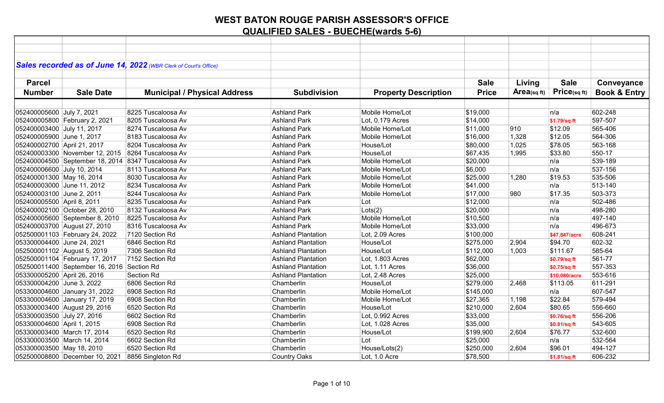|                             |                                                    | Sales recorded as of June 14, 2022 (WBR Clerk of Court's Office) |                           |                             |              |            |               |                         |
|-----------------------------|----------------------------------------------------|------------------------------------------------------------------|---------------------------|-----------------------------|--------------|------------|---------------|-------------------------|
|                             |                                                    |                                                                  |                           |                             |              |            |               |                         |
|                             |                                                    |                                                                  |                           |                             |              |            |               |                         |
| <b>Parcel</b>               |                                                    |                                                                  |                           |                             | <b>Sale</b>  | Living     | <b>Sale</b>   | Conveyance              |
| <b>Number</b>               | <b>Sale Date</b>                                   | <b>Municipal / Physical Address</b>                              | <b>Subdivision</b>        | <b>Property Description</b> | <b>Price</b> | Area(sqft) | Price(sqft)   | <b>Book &amp; Entry</b> |
|                             |                                                    |                                                                  |                           |                             |              |            |               |                         |
| 052400005600 July 7, 2021   |                                                    | 8225 Tuscaloosa Av                                               | <b>Ashland Park</b>       | Mobile Home/Lot             | \$19,000     |            | n/a           | 602-248                 |
|                             | 052400005800 February 2, 2021                      | 8205 Tuscaloosa Av                                               | <b>Ashland Park</b>       | Lot, 0.179 Acres            | \$14,000     |            | \$1.79/sq ft  | 597-507                 |
| 052400003400 July 11, 2017  |                                                    | 8274 Tuscaloosa Av                                               | <b>Ashland Park</b>       | Mobile Home/Lot             | \$11,000     | 910        | \$12.09       | 565-406                 |
| 052400005900 June 1, 2017   |                                                    | 8183 Tuscaloosa Av                                               | <b>Ashland Park</b>       | Mobile Home/Lot             | \$16,000     | 1,328      | \$12.05       | 564-306                 |
| 052400002700 April 21, 2017 |                                                    | 8204 Tuscaloosa Av                                               | <b>Ashland Park</b>       | House/Lot                   | \$80,000     | 1,025      | \$78.05       | 563-168                 |
|                             | 052400003300 November 12, 2015 8264 Tuscaloosa Av  |                                                                  | <b>Ashland Park</b>       | House/Lot                   | \$67,435     | 1,995      | \$33.80       | 550-17                  |
|                             | 052400004500 September 18, 2014 8347 Tuscaloosa Av |                                                                  | <b>Ashland Park</b>       | Mobile Home/Lot             | \$20,000     |            | n/a           | 539-189                 |
| 052400006600 July 10, 2014  |                                                    | 8113 Tuscaloosa Av                                               | <b>Ashland Park</b>       | Mobile Home/Lot             | \$6,000      |            | n/a           | 537-156                 |
| 052400001300 May 16, 2014   |                                                    | 8030 Tuscaloosa Av                                               | <b>Ashland Park</b>       | Mobile Home/Lot             | \$25,000     | 1,280      | \$19.53       | 535-506                 |
|                             | 052400003000 June 11, 2012                         | 8234 Tuscaloosa Av                                               | <b>Ashland Park</b>       | Mobile Home/Lot             | \$41,000     |            | n/a           | 513-140                 |
| 052400003100 June 2, 2011   |                                                    | 8244 Tuscaloosa Av                                               | <b>Ashland Park</b>       | Mobile Home/Lot             | \$17,000     | 980        | \$17.35       | 503-373                 |
| 052400005500 April 8, 2011  |                                                    | 8235 Tuscaloosa Av                                               | <b>Ashland Park</b>       | Lot                         | \$12,000     |            | n/a           | 502-486                 |
|                             | 052400002100 October 28, 2010                      | 8132 Tuscaloosa Av                                               | <b>Ashland Park</b>       | Lots(2)                     | \$20,000     |            | ∣n/a          | 498-280                 |
|                             | 052400005600 September 8, 2010                     | 8225 Tuscaloosa Av                                               | <b>Ashland Park</b>       | Mobile Home/Lot             | \$10,500     |            | n/a           | 497-140                 |
|                             | 052400003700 August 27, 2010                       | 8316 Tuscaloosa Av                                               | <b>Ashland Park</b>       | Mobile Home/Lot             | \$33,000     |            | n/a           | 496-673                 |
|                             | 052500001103 February 24, 2022                     | 7120 Section Rd                                                  | <b>Ashland Plantation</b> | Lot, 2.09 Acres             | \$100,000    |            | \$47,847/acre | 608-241                 |
| 053300004400 June 24, 2021  |                                                    | 6846 Section Rd                                                  | <b>Ashland Plantation</b> | House/Lot                   | \$275,000    | 2,904      | \$94.70       | 602-32                  |
|                             | 052500001102 August 5, 2019                        | 7306 Section Rd                                                  | <b>Ashland Plantation</b> | House/Lot                   | \$112,000    | 1,003      | \$111.67      | 585-64                  |
|                             | 052500001104 February 17, 2017                     | 7152 Section Rd                                                  | <b>Ashland Plantation</b> | Lot, 1.803 Acres            | \$62,000     |            | \$0.79/sq ft  | 561-77                  |
|                             | 052500011400 September 16, 2016 Section Rd         |                                                                  | <b>Ashland Plantation</b> | Lot, 1.11 Acres             | \$36,000     |            | \$0.75/sq ft  | 557-353                 |
| 053300005200 April 26, 2016 |                                                    | Section Rd                                                       | <b>Ashland Plantation</b> | Lot, 2.48 Acres             | \$25,000     |            | \$10,080/acre | 553-616                 |
| 053300004200 June 3, 2022   |                                                    | 6806 Section Rd                                                  | Chamberlin                | House/Lot                   | \$279,000    | 2,468      | \$113.05      | 611-291                 |
|                             | 053300004600 January 31, 2022                      | 6908 Section Rd                                                  | Chamberlin                | Mobile Home/Lot             | \$145,000    |            | n/a           | 607-547                 |
|                             | 053300004600 January 17, 2019                      | 6908 Section Rd                                                  | Chamberlin                | Mobile Home/Lot             | \$27,365     | 1,198      | \$22.84       | 579-494                 |
|                             | 053300003400 August 29, 2016                       | 6520 Section Rd                                                  | Chamberlin                | House/Lot                   | \$210,000    | 2,604      | \$80.65       | 556-660                 |
| 053300003500 July 27, 2016  |                                                    | 6602 Section Rd                                                  | Chamberlin                | Lot, 0.992 Acres            | \$33,000     |            | \$0.76/sq ft  | 556-206                 |
| 053300004600 April 1, 2015  |                                                    | 6908 Section Rd                                                  | Chamberlin                | Lot, 1.028 Acres            | \$35,000     |            | \$0.81/sq ft  | 543-605                 |
|                             | 053300003400 March 17, 2014                        | 6520 Section Rd                                                  | Chamberlin                | House/Lot                   | \$199,900    | 2,604      | \$76.77       | 532-600                 |
|                             | 053300003500 March 14, 2014                        | 6602 Section Rd                                                  | Chamberlin                | Lot                         | \$25,000     |            | n/a           | 532-564                 |
| 053300003500 May 18, 2010   |                                                    | 6520 Section Rd                                                  | Chamberlin                | House/Lots(2)               | \$250,000    | 2,604      | \$96.01       | 494-127                 |
|                             | 052500008800 December 10, 2021                     | 8856 Singleton Rd                                                | <b>Country Oaks</b>       | Lot, 1.0 Acre               | \$78,500     |            | \$1.81/sq ft  | 606-232                 |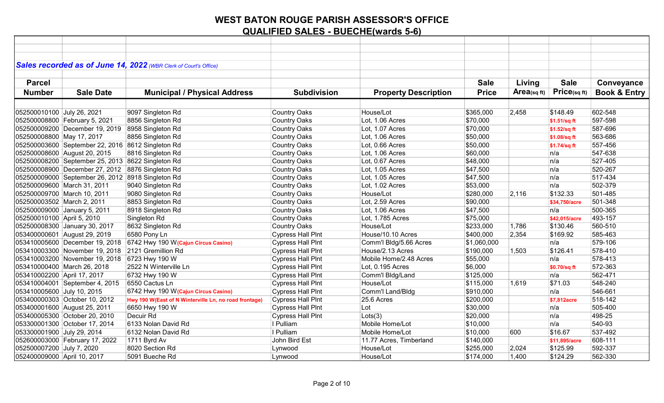|                             |                                                   | Sales recorded as of June 14, 2022 (WBR Clerk of Court's Office) |                          |                             |              |                |               |                         |
|-----------------------------|---------------------------------------------------|------------------------------------------------------------------|--------------------------|-----------------------------|--------------|----------------|---------------|-------------------------|
|                             |                                                   |                                                                  |                          |                             |              |                |               |                         |
| <b>Parcel</b>               |                                                   |                                                                  |                          |                             | <b>Sale</b>  | Living         | <b>Sale</b>   | Conveyance              |
|                             |                                                   |                                                                  |                          |                             |              |                | Price(sqft)   |                         |
| <b>Number</b>               | <b>Sale Date</b>                                  | <b>Municipal / Physical Address</b>                              | <b>Subdivision</b>       | <b>Property Description</b> | <b>Price</b> | $Area$ (sq ft) |               | <b>Book &amp; Entry</b> |
|                             |                                                   |                                                                  |                          |                             |              |                |               |                         |
| 052500010100 July 26, 2021  |                                                   | 9097 Singleton Rd                                                | <b>Country Oaks</b>      | House/Lot                   | \$365,000    | 2,458          | \$148.49      | 602-548                 |
|                             | 052500008800 February 5, 2021                     | 8856 Singleton Rd                                                | <b>Country Oaks</b>      | Lot, 1.06 Acres             | \$70,000     |                | \$1.51/sq ft  | 597-598                 |
|                             | 052500009200 December 19, 2019 8958 Singleton Rd  |                                                                  | <b>Country Oaks</b>      | Lot, 1.07 Acres             | \$70,000     |                | \$1.52/sq ft  | 587-696                 |
| 052500008800 May 17, 2017   |                                                   | 8856 Singleton Rd                                                | <b>Country Oaks</b>      | Lot, 1.06 Acres             | \$50,000     |                | \$1.08/sq ft  | 563-686                 |
|                             | 052500003600 September 22, 2016 8612 Singleton Rd |                                                                  | <b>Country Oaks</b>      | Lot, 0.66 Acres             | \$50,000     |                | \$1.74/sq ft  | 557-456                 |
|                             | 052500008600 August 20, 2015                      | 8816 Singleton Rd                                                | <b>Country Oaks</b>      | Lot, 1.06 Acres             | \$60,000     |                | n/a           | 547-638                 |
|                             | 052500008200 September 25, 2013 8622 Singleton Rd |                                                                  | <b>Country Oaks</b>      | Lot, 0.67 Acres             | \$48,000     |                | n/a           | 527-405                 |
|                             | 052500008900 December 27, 2012 8876 Singleton Rd  |                                                                  | <b>Country Oaks</b>      | Lot, 1.05 Acres             | \$47,500     |                | n/a           | 520-267                 |
|                             | 052500009000 September 26, 2012 8918 Singleton Rd |                                                                  | Country Oaks             | Lot, 1.05 Acres             | \$47,500     |                | n/a           | 517-434                 |
|                             | 052500009600 March 31, 2011                       | 9040 Singleton Rd                                                | <b>Country Oaks</b>      | Lot, 1.02 Acres             | \$53,000     |                | n/a           | 502-379                 |
|                             | 052500009700 March 10, 2011                       | 9080 Singleton Rd                                                | <b>Country Oaks</b>      | House/Lot                   | \$280,000    | 2,116          | \$132.33      | 501-485                 |
| 052500003502 March 2, 2011  |                                                   | 8853 Singleton Rd                                                | <b>Country Oaks</b>      | Lot, 2.59 Acres             | \$90,000     |                | \$34,750/acre | 501-348                 |
|                             | 052500009000 January 5, 2011                      | 8918 Singleton Rd                                                | <b>Country Oaks</b>      | Lot, 1.06 Acres             | \$47,500     |                | ∣n/a          | 500-365                 |
| 052500010100 April 5, 2010  |                                                   | Singleton Rd                                                     | <b>Country Oaks</b>      | Lot, 1.785 Acres            | \$75,000     |                | \$42,015/acre | 493-157                 |
|                             | 052500008300 January 30, 2017                     | 8632 Singleton Rd                                                | <b>Country Oaks</b>      | House/Lot                   | \$233,000    | 1,786          | \$130.46      | 560-510                 |
|                             | 053400000601 August 29, 2019                      | 6580 Pony Ln                                                     | <b>Cypress Hall PInt</b> | House/10.10 Acres           | \$400,000    | 2,354          | \$169.92      | 585-463                 |
|                             | 053410005600 December 19, 2018                    | 6742 Hwy 190 W (Cajun Circus Casino)                             | <b>Cypress Hall PInt</b> | Comm'l Bldg/5.66 Acres      | \$1,060,000  |                | n/a           | 579-106                 |
|                             | 053410003300 November 19, 2018                    | 2121 Gremillion Rd                                               | <b>Cypress Hall PInt</b> | House/2.13 Acres            | \$190,000    | 1,503          | \$126.41      | 578-410                 |
|                             | 053410003200 November 19, 2018 6723 Hwy 190 W     |                                                                  | <b>Cypress Hall Pint</b> | Mobile Home/2.48 Acres      | \$55,000     |                | n/a           | 578-413                 |
|                             | 053410000400 March 26, 2018                       | 2522 N Winterville Ln                                            | <b>Cypress Hall Pint</b> | Lot, 0.195 Acres            | \$6,000      |                | \$0.70/sq ft  | 572-363                 |
| 053410002200 April 17, 2017 |                                                   | 6732 Hwy 190 W                                                   | <b>Cypress Hall Pint</b> | Comm'l Bldg/Land            | \$125,000    |                | n/a           | 562-471                 |
|                             | 053410004001 September 4, 2015                    | 6550 Cactus Ln                                                   | <b>Cypress Hall PInt</b> | House/Lot                   | \$115,000    | 1,619          | \$71.03       | 548-240                 |
| 053410005600 July 10, 2015  |                                                   | 6742 Hwy 190 W (Cajun Circus Casino)                             | <b>Cypress Hall Pint</b> | Comm'l Land/Bldg            | \$910,000    |                | n/a           | 546-661                 |
|                             | 053400000303 October 10, 2012                     | Hwy 190 W(East of N Winterville Ln, no road frontage)            | <b>Cypress Hall Pint</b> | 25.6 Acres                  | \$200,000    |                | \$7,812acre   | 518-142                 |
|                             | 053400001600 August 25, 2011                      | 6650 Hwy 190 W                                                   | <b>Cypress Hall PInt</b> | Lot                         | \$30,000     |                | n/a           | 505-400                 |
|                             | 053400005300 October 20, 2010                     | Decuir Rd                                                        | <b>Cypress Hall PInt</b> | Lots(3)                     | \$20,000     |                | n/a           | 498-25                  |
|                             | 053300001300 October 17, 2014                     | 6133 Nolan David Rd                                              | I Pulliam                | Mobile Home/Lot             | \$10,000     |                | n/a           | 540-93                  |
| 053300001900 July 29, 2014  |                                                   | 6132 Nolan David Rd                                              | I Pulliam                | Mobile Home/Lot             | \$10,000     | 600            | \$16.67       | 537-492                 |
|                             | 052600003000 February 17, 2022                    | 1711 Byrd Av                                                     | John Bird Est            | 11.77 Acres, Timberland     | \$140,000    |                | \$11,895/acre | 608-111                 |
| 052500007200 July 7, 2020   |                                                   | 8020 Section Rd                                                  | Lynwood                  | House/Lot                   | \$255,000    | 2,024          | \$125.99      | 592-337                 |
| 052400009000 April 10, 2017 |                                                   | 5091 Bueche Rd                                                   | Lynwood                  | House/Lot                   | \$174,000    | 1,400          | \$124.29      | 562-330                 |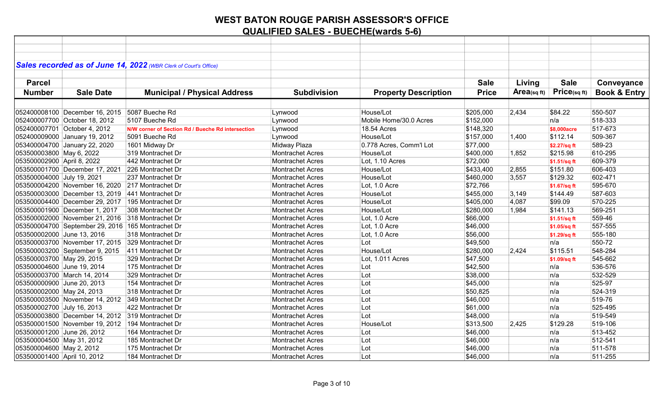| Sales recorded as of June 14, 2022 (WBR Clerk of Court's Office)<br><b>Sale</b><br>Living<br><b>Sale</b><br><b>Parcel</b><br>Conveyance<br>Price(sqft)<br>Area(sq ft)<br><b>Book &amp; Entry</b><br><b>Number</b><br><b>Sale Date</b><br><b>Municipal / Physical Address</b><br><b>Subdivision</b><br><b>Property Description</b><br><b>Price</b><br>550-507<br>052400008100 December 16, 2015<br>5087 Bueche Rd<br>House/Lot<br>\$205,000<br>2,434<br>\$84.22<br>Lynwood<br>Mobile Home/30.0 Acres<br>\$152,000<br>n/a<br>518-333<br>052400007700 October 18, 2012<br>5107 Bueche Rd<br>Lynwood<br>052400007701 October 4, 2012<br>517-673<br>18.54 Acres<br>\$148,320<br>Lynwood<br>N/W corner of Section Rd / Bueche Rd intersection<br>\$8,000acre<br>052400009000 January 19, 2012<br>Lynwood<br>House/Lot<br>\$157,000<br>\$112.14<br>509-367<br>5091 Bueche Rd<br>1,400<br>589-23<br>053400004700 January 22, 2020<br>Midway Plaza<br>0.778 Acres, Comm'l Lot<br>\$77,000<br>1601 Midway Dr<br>\$2.27/sq ft<br>053500003800 May 6, 2022<br>319 Montrachet Dr<br>House/Lot<br>610-295<br>Montrachet Acres<br>\$400,000<br>1,852<br>\$215.98<br>053500002900 April 8, 2022<br>442 Montrachet Dr<br>609-379<br>Lot. 1.10 Acres<br>\$72,000<br><b>Montrachet Acres</b><br>\$1.51/sq ft<br>053500001700 December 17, 2021 226 Montrachet Dr<br>House/Lot<br>\$151.80<br>606-403<br>\$433,400<br>2,855<br><b>Montrachet Acres</b><br>\$129.32<br>602-471<br>053500004000 July 19, 2021<br>House/Lot<br>\$460,000<br>3,557<br>237 Montrachet Dr<br><b>Montrachet Acres</b><br>053500004200 November 16, 2020 217 Montrachet Dr<br>595-670<br>Lot, 1.0 Acre<br>\$72,766<br><b>Montrachet Acres</b><br>\$1.67/sq ft<br>587-603<br>053500003000 December 13, 2019<br>441 Montrachet Dr<br>House/Lot<br>\$455,000<br>3,149<br>\$144.49<br><b>Montrachet Acres</b><br>570-225<br>House/Lot<br>\$405,000<br>4,087<br>\$99.09<br>195 Montrachet Dr<br><b>Montrachet Acres</b><br>569-251<br>308 Montrachet Dr<br><b>Montrachet Acres</b><br>House/Lot<br>\$280,000<br>1,984<br>\$141.13<br>559-46<br>053500002000 November 21, 2016 318 Montrachet Dr<br>Lot, 1.0 Acre<br>\$66,000<br><b>Montrachet Acres</b><br>\$1.51/sq ft<br>557-555<br>053500004700 September 29, 2016 165 Montrachet Dr<br>Lot, 1.0 Acre<br>\$46,000<br><b>Montrachet Acres</b><br>\$1.05/sq ft<br>555-180<br>318 Montrachet Dr<br>Lot, 1.0 Acre<br>\$56,000<br><b>Montrachet Acres</b><br>\$1.29/sq ft<br>550-72<br>053500003700 November 17, 2015 329 Montrachet Dr<br>Lot<br>\$49,500<br>n/a<br><b>Montrachet Acres</b><br>House/Lot<br>548-284<br>053500003200 September 9, 2015 411 Montrachet Dr<br>\$280,000<br>\$115.51<br><b>Montrachet Acres</b><br>2,424 |                                |                   |                         |                  |          |              |         |
|------------------------------------------------------------------------------------------------------------------------------------------------------------------------------------------------------------------------------------------------------------------------------------------------------------------------------------------------------------------------------------------------------------------------------------------------------------------------------------------------------------------------------------------------------------------------------------------------------------------------------------------------------------------------------------------------------------------------------------------------------------------------------------------------------------------------------------------------------------------------------------------------------------------------------------------------------------------------------------------------------------------------------------------------------------------------------------------------------------------------------------------------------------------------------------------------------------------------------------------------------------------------------------------------------------------------------------------------------------------------------------------------------------------------------------------------------------------------------------------------------------------------------------------------------------------------------------------------------------------------------------------------------------------------------------------------------------------------------------------------------------------------------------------------------------------------------------------------------------------------------------------------------------------------------------------------------------------------------------------------------------------------------------------------------------------------------------------------------------------------------------------------------------------------------------------------------------------------------------------------------------------------------------------------------------------------------------------------------------------------------------------------------------------------------------------------------------------------------------------------------------------------------------------------------------------------------------------------------------------------------------------------------------------------------------------------------------------------------------|--------------------------------|-------------------|-------------------------|------------------|----------|--------------|---------|
|                                                                                                                                                                                                                                                                                                                                                                                                                                                                                                                                                                                                                                                                                                                                                                                                                                                                                                                                                                                                                                                                                                                                                                                                                                                                                                                                                                                                                                                                                                                                                                                                                                                                                                                                                                                                                                                                                                                                                                                                                                                                                                                                                                                                                                                                                                                                                                                                                                                                                                                                                                                                                                                                                                                                    |                                |                   |                         |                  |          |              |         |
|                                                                                                                                                                                                                                                                                                                                                                                                                                                                                                                                                                                                                                                                                                                                                                                                                                                                                                                                                                                                                                                                                                                                                                                                                                                                                                                                                                                                                                                                                                                                                                                                                                                                                                                                                                                                                                                                                                                                                                                                                                                                                                                                                                                                                                                                                                                                                                                                                                                                                                                                                                                                                                                                                                                                    |                                |                   |                         |                  |          |              |         |
|                                                                                                                                                                                                                                                                                                                                                                                                                                                                                                                                                                                                                                                                                                                                                                                                                                                                                                                                                                                                                                                                                                                                                                                                                                                                                                                                                                                                                                                                                                                                                                                                                                                                                                                                                                                                                                                                                                                                                                                                                                                                                                                                                                                                                                                                                                                                                                                                                                                                                                                                                                                                                                                                                                                                    |                                |                   |                         |                  |          |              |         |
|                                                                                                                                                                                                                                                                                                                                                                                                                                                                                                                                                                                                                                                                                                                                                                                                                                                                                                                                                                                                                                                                                                                                                                                                                                                                                                                                                                                                                                                                                                                                                                                                                                                                                                                                                                                                                                                                                                                                                                                                                                                                                                                                                                                                                                                                                                                                                                                                                                                                                                                                                                                                                                                                                                                                    |                                |                   |                         |                  |          |              |         |
|                                                                                                                                                                                                                                                                                                                                                                                                                                                                                                                                                                                                                                                                                                                                                                                                                                                                                                                                                                                                                                                                                                                                                                                                                                                                                                                                                                                                                                                                                                                                                                                                                                                                                                                                                                                                                                                                                                                                                                                                                                                                                                                                                                                                                                                                                                                                                                                                                                                                                                                                                                                                                                                                                                                                    |                                |                   |                         |                  |          |              |         |
|                                                                                                                                                                                                                                                                                                                                                                                                                                                                                                                                                                                                                                                                                                                                                                                                                                                                                                                                                                                                                                                                                                                                                                                                                                                                                                                                                                                                                                                                                                                                                                                                                                                                                                                                                                                                                                                                                                                                                                                                                                                                                                                                                                                                                                                                                                                                                                                                                                                                                                                                                                                                                                                                                                                                    |                                |                   |                         |                  |          |              |         |
|                                                                                                                                                                                                                                                                                                                                                                                                                                                                                                                                                                                                                                                                                                                                                                                                                                                                                                                                                                                                                                                                                                                                                                                                                                                                                                                                                                                                                                                                                                                                                                                                                                                                                                                                                                                                                                                                                                                                                                                                                                                                                                                                                                                                                                                                                                                                                                                                                                                                                                                                                                                                                                                                                                                                    |                                |                   |                         |                  |          |              |         |
|                                                                                                                                                                                                                                                                                                                                                                                                                                                                                                                                                                                                                                                                                                                                                                                                                                                                                                                                                                                                                                                                                                                                                                                                                                                                                                                                                                                                                                                                                                                                                                                                                                                                                                                                                                                                                                                                                                                                                                                                                                                                                                                                                                                                                                                                                                                                                                                                                                                                                                                                                                                                                                                                                                                                    |                                |                   |                         |                  |          |              |         |
|                                                                                                                                                                                                                                                                                                                                                                                                                                                                                                                                                                                                                                                                                                                                                                                                                                                                                                                                                                                                                                                                                                                                                                                                                                                                                                                                                                                                                                                                                                                                                                                                                                                                                                                                                                                                                                                                                                                                                                                                                                                                                                                                                                                                                                                                                                                                                                                                                                                                                                                                                                                                                                                                                                                                    |                                |                   |                         |                  |          |              |         |
|                                                                                                                                                                                                                                                                                                                                                                                                                                                                                                                                                                                                                                                                                                                                                                                                                                                                                                                                                                                                                                                                                                                                                                                                                                                                                                                                                                                                                                                                                                                                                                                                                                                                                                                                                                                                                                                                                                                                                                                                                                                                                                                                                                                                                                                                                                                                                                                                                                                                                                                                                                                                                                                                                                                                    |                                |                   |                         |                  |          |              |         |
|                                                                                                                                                                                                                                                                                                                                                                                                                                                                                                                                                                                                                                                                                                                                                                                                                                                                                                                                                                                                                                                                                                                                                                                                                                                                                                                                                                                                                                                                                                                                                                                                                                                                                                                                                                                                                                                                                                                                                                                                                                                                                                                                                                                                                                                                                                                                                                                                                                                                                                                                                                                                                                                                                                                                    |                                |                   |                         |                  |          |              |         |
|                                                                                                                                                                                                                                                                                                                                                                                                                                                                                                                                                                                                                                                                                                                                                                                                                                                                                                                                                                                                                                                                                                                                                                                                                                                                                                                                                                                                                                                                                                                                                                                                                                                                                                                                                                                                                                                                                                                                                                                                                                                                                                                                                                                                                                                                                                                                                                                                                                                                                                                                                                                                                                                                                                                                    |                                |                   |                         |                  |          |              |         |
|                                                                                                                                                                                                                                                                                                                                                                                                                                                                                                                                                                                                                                                                                                                                                                                                                                                                                                                                                                                                                                                                                                                                                                                                                                                                                                                                                                                                                                                                                                                                                                                                                                                                                                                                                                                                                                                                                                                                                                                                                                                                                                                                                                                                                                                                                                                                                                                                                                                                                                                                                                                                                                                                                                                                    |                                |                   |                         |                  |          |              |         |
|                                                                                                                                                                                                                                                                                                                                                                                                                                                                                                                                                                                                                                                                                                                                                                                                                                                                                                                                                                                                                                                                                                                                                                                                                                                                                                                                                                                                                                                                                                                                                                                                                                                                                                                                                                                                                                                                                                                                                                                                                                                                                                                                                                                                                                                                                                                                                                                                                                                                                                                                                                                                                                                                                                                                    |                                |                   |                         |                  |          |              |         |
|                                                                                                                                                                                                                                                                                                                                                                                                                                                                                                                                                                                                                                                                                                                                                                                                                                                                                                                                                                                                                                                                                                                                                                                                                                                                                                                                                                                                                                                                                                                                                                                                                                                                                                                                                                                                                                                                                                                                                                                                                                                                                                                                                                                                                                                                                                                                                                                                                                                                                                                                                                                                                                                                                                                                    |                                |                   |                         |                  |          |              |         |
|                                                                                                                                                                                                                                                                                                                                                                                                                                                                                                                                                                                                                                                                                                                                                                                                                                                                                                                                                                                                                                                                                                                                                                                                                                                                                                                                                                                                                                                                                                                                                                                                                                                                                                                                                                                                                                                                                                                                                                                                                                                                                                                                                                                                                                                                                                                                                                                                                                                                                                                                                                                                                                                                                                                                    |                                |                   |                         |                  |          |              |         |
|                                                                                                                                                                                                                                                                                                                                                                                                                                                                                                                                                                                                                                                                                                                                                                                                                                                                                                                                                                                                                                                                                                                                                                                                                                                                                                                                                                                                                                                                                                                                                                                                                                                                                                                                                                                                                                                                                                                                                                                                                                                                                                                                                                                                                                                                                                                                                                                                                                                                                                                                                                                                                                                                                                                                    |                                |                   |                         |                  |          |              |         |
|                                                                                                                                                                                                                                                                                                                                                                                                                                                                                                                                                                                                                                                                                                                                                                                                                                                                                                                                                                                                                                                                                                                                                                                                                                                                                                                                                                                                                                                                                                                                                                                                                                                                                                                                                                                                                                                                                                                                                                                                                                                                                                                                                                                                                                                                                                                                                                                                                                                                                                                                                                                                                                                                                                                                    |                                |                   |                         |                  |          |              |         |
|                                                                                                                                                                                                                                                                                                                                                                                                                                                                                                                                                                                                                                                                                                                                                                                                                                                                                                                                                                                                                                                                                                                                                                                                                                                                                                                                                                                                                                                                                                                                                                                                                                                                                                                                                                                                                                                                                                                                                                                                                                                                                                                                                                                                                                                                                                                                                                                                                                                                                                                                                                                                                                                                                                                                    | 053500004400 December 29, 2017 |                   |                         |                  |          |              |         |
|                                                                                                                                                                                                                                                                                                                                                                                                                                                                                                                                                                                                                                                                                                                                                                                                                                                                                                                                                                                                                                                                                                                                                                                                                                                                                                                                                                                                                                                                                                                                                                                                                                                                                                                                                                                                                                                                                                                                                                                                                                                                                                                                                                                                                                                                                                                                                                                                                                                                                                                                                                                                                                                                                                                                    | 053500001900 December 1, 2017  |                   |                         |                  |          |              |         |
|                                                                                                                                                                                                                                                                                                                                                                                                                                                                                                                                                                                                                                                                                                                                                                                                                                                                                                                                                                                                                                                                                                                                                                                                                                                                                                                                                                                                                                                                                                                                                                                                                                                                                                                                                                                                                                                                                                                                                                                                                                                                                                                                                                                                                                                                                                                                                                                                                                                                                                                                                                                                                                                                                                                                    |                                |                   |                         |                  |          |              |         |
|                                                                                                                                                                                                                                                                                                                                                                                                                                                                                                                                                                                                                                                                                                                                                                                                                                                                                                                                                                                                                                                                                                                                                                                                                                                                                                                                                                                                                                                                                                                                                                                                                                                                                                                                                                                                                                                                                                                                                                                                                                                                                                                                                                                                                                                                                                                                                                                                                                                                                                                                                                                                                                                                                                                                    |                                |                   |                         |                  |          |              |         |
|                                                                                                                                                                                                                                                                                                                                                                                                                                                                                                                                                                                                                                                                                                                                                                                                                                                                                                                                                                                                                                                                                                                                                                                                                                                                                                                                                                                                                                                                                                                                                                                                                                                                                                                                                                                                                                                                                                                                                                                                                                                                                                                                                                                                                                                                                                                                                                                                                                                                                                                                                                                                                                                                                                                                    | 053500002000 June 13, 2016     |                   |                         |                  |          |              |         |
|                                                                                                                                                                                                                                                                                                                                                                                                                                                                                                                                                                                                                                                                                                                                                                                                                                                                                                                                                                                                                                                                                                                                                                                                                                                                                                                                                                                                                                                                                                                                                                                                                                                                                                                                                                                                                                                                                                                                                                                                                                                                                                                                                                                                                                                                                                                                                                                                                                                                                                                                                                                                                                                                                                                                    |                                |                   |                         |                  |          |              |         |
|                                                                                                                                                                                                                                                                                                                                                                                                                                                                                                                                                                                                                                                                                                                                                                                                                                                                                                                                                                                                                                                                                                                                                                                                                                                                                                                                                                                                                                                                                                                                                                                                                                                                                                                                                                                                                                                                                                                                                                                                                                                                                                                                                                                                                                                                                                                                                                                                                                                                                                                                                                                                                                                                                                                                    |                                |                   |                         |                  |          |              |         |
|                                                                                                                                                                                                                                                                                                                                                                                                                                                                                                                                                                                                                                                                                                                                                                                                                                                                                                                                                                                                                                                                                                                                                                                                                                                                                                                                                                                                                                                                                                                                                                                                                                                                                                                                                                                                                                                                                                                                                                                                                                                                                                                                                                                                                                                                                                                                                                                                                                                                                                                                                                                                                                                                                                                                    | 053500003700 May 29, 2015      | 329 Montrachet Dr | <b>Montrachet Acres</b> | Lot, 1.011 Acres | \$47,500 | \$1.09/sq ft | 545-662 |
| \$42,500<br>536-576<br>175 Montrachet Dr<br>Montrachet Acres<br>Lot<br>n/a                                                                                                                                                                                                                                                                                                                                                                                                                                                                                                                                                                                                                                                                                                                                                                                                                                                                                                                                                                                                                                                                                                                                                                                                                                                                                                                                                                                                                                                                                                                                                                                                                                                                                                                                                                                                                                                                                                                                                                                                                                                                                                                                                                                                                                                                                                                                                                                                                                                                                                                                                                                                                                                         | 053500004600 June 19, 2014     |                   |                         |                  |          |              |         |
| \$38,000<br>532-529<br>329 Montrachet Dr<br><b>Montrachet Acres</b><br>Lot<br>n/a                                                                                                                                                                                                                                                                                                                                                                                                                                                                                                                                                                                                                                                                                                                                                                                                                                                                                                                                                                                                                                                                                                                                                                                                                                                                                                                                                                                                                                                                                                                                                                                                                                                                                                                                                                                                                                                                                                                                                                                                                                                                                                                                                                                                                                                                                                                                                                                                                                                                                                                                                                                                                                                  | 053500003700 March 14, 2014    |                   |                         |                  |          |              |         |
| 525-97<br>154 Montrachet Dr<br>Lot<br>\$45,000<br>n/a<br><b>Montrachet Acres</b>                                                                                                                                                                                                                                                                                                                                                                                                                                                                                                                                                                                                                                                                                                                                                                                                                                                                                                                                                                                                                                                                                                                                                                                                                                                                                                                                                                                                                                                                                                                                                                                                                                                                                                                                                                                                                                                                                                                                                                                                                                                                                                                                                                                                                                                                                                                                                                                                                                                                                                                                                                                                                                                   | 053500000900 June 20, 2013     |                   |                         |                  |          |              |         |
| 318 Montrachet Dr<br>Lot<br>\$50,825<br>n/a<br>524-319<br><b>Montrachet Acres</b>                                                                                                                                                                                                                                                                                                                                                                                                                                                                                                                                                                                                                                                                                                                                                                                                                                                                                                                                                                                                                                                                                                                                                                                                                                                                                                                                                                                                                                                                                                                                                                                                                                                                                                                                                                                                                                                                                                                                                                                                                                                                                                                                                                                                                                                                                                                                                                                                                                                                                                                                                                                                                                                  | 053500002000 May 24, 2013      |                   |                         |                  |          |              |         |
| Lot<br>519-76<br>053500003500 November 14, 2012 349 Montrachet Dr<br>\$46,000<br>n/a<br><b>Montrachet Acres</b>                                                                                                                                                                                                                                                                                                                                                                                                                                                                                                                                                                                                                                                                                                                                                                                                                                                                                                                                                                                                                                                                                                                                                                                                                                                                                                                                                                                                                                                                                                                                                                                                                                                                                                                                                                                                                                                                                                                                                                                                                                                                                                                                                                                                                                                                                                                                                                                                                                                                                                                                                                                                                    |                                |                   |                         |                  |          |              |         |
| Lot<br>n/a<br>525-495<br>\$61,000<br>422 Montrachet Dr<br><b>Montrachet Acres</b>                                                                                                                                                                                                                                                                                                                                                                                                                                                                                                                                                                                                                                                                                                                                                                                                                                                                                                                                                                                                                                                                                                                                                                                                                                                                                                                                                                                                                                                                                                                                                                                                                                                                                                                                                                                                                                                                                                                                                                                                                                                                                                                                                                                                                                                                                                                                                                                                                                                                                                                                                                                                                                                  | 053500002700 July 16, 2013     |                   |                         |                  |          |              |         |
| 519-549<br>053500003800 December 14, 2012 319 Montrachet Dr<br>Lot<br>\$48,000<br>n/a<br><b>Montrachet Acres</b>                                                                                                                                                                                                                                                                                                                                                                                                                                                                                                                                                                                                                                                                                                                                                                                                                                                                                                                                                                                                                                                                                                                                                                                                                                                                                                                                                                                                                                                                                                                                                                                                                                                                                                                                                                                                                                                                                                                                                                                                                                                                                                                                                                                                                                                                                                                                                                                                                                                                                                                                                                                                                   |                                |                   |                         |                  |          |              |         |
| 053500001500 November 19, 2012 194 Montrachet Dr<br>\$129.28<br>519-106<br><b>Montrachet Acres</b><br>House/Lot<br>\$313,500<br>2,425                                                                                                                                                                                                                                                                                                                                                                                                                                                                                                                                                                                                                                                                                                                                                                                                                                                                                                                                                                                                                                                                                                                                                                                                                                                                                                                                                                                                                                                                                                                                                                                                                                                                                                                                                                                                                                                                                                                                                                                                                                                                                                                                                                                                                                                                                                                                                                                                                                                                                                                                                                                              |                                |                   |                         |                  |          |              |         |
| \$46,000<br>513-452<br>164 Montrachet Dr<br>Lot<br>n/a<br><b>Montrachet Acres</b>                                                                                                                                                                                                                                                                                                                                                                                                                                                                                                                                                                                                                                                                                                                                                                                                                                                                                                                                                                                                                                                                                                                                                                                                                                                                                                                                                                                                                                                                                                                                                                                                                                                                                                                                                                                                                                                                                                                                                                                                                                                                                                                                                                                                                                                                                                                                                                                                                                                                                                                                                                                                                                                  | 053500001200 June 26, 2012     |                   |                         |                  |          |              |         |
| 512-541<br>185 Montrachet Dr<br>Lot<br>\$46,000<br>n/a<br><b>Montrachet Acres</b>                                                                                                                                                                                                                                                                                                                                                                                                                                                                                                                                                                                                                                                                                                                                                                                                                                                                                                                                                                                                                                                                                                                                                                                                                                                                                                                                                                                                                                                                                                                                                                                                                                                                                                                                                                                                                                                                                                                                                                                                                                                                                                                                                                                                                                                                                                                                                                                                                                                                                                                                                                                                                                                  | 053500004500 May 31, 2012      |                   |                         |                  |          |              |         |
| 511-578<br>175 Montrachet Dr<br><b>Montrachet Acres</b><br>Lot<br>\$46,000<br>n/a                                                                                                                                                                                                                                                                                                                                                                                                                                                                                                                                                                                                                                                                                                                                                                                                                                                                                                                                                                                                                                                                                                                                                                                                                                                                                                                                                                                                                                                                                                                                                                                                                                                                                                                                                                                                                                                                                                                                                                                                                                                                                                                                                                                                                                                                                                                                                                                                                                                                                                                                                                                                                                                  | 053500004600 May 2, 2012       |                   |                         |                  |          |              |         |
| 184 Montrachet Dr<br>Lot<br>Montrachet Acres<br>\$46,000<br>n/a<br>511-255                                                                                                                                                                                                                                                                                                                                                                                                                                                                                                                                                                                                                                                                                                                                                                                                                                                                                                                                                                                                                                                                                                                                                                                                                                                                                                                                                                                                                                                                                                                                                                                                                                                                                                                                                                                                                                                                                                                                                                                                                                                                                                                                                                                                                                                                                                                                                                                                                                                                                                                                                                                                                                                         | 053500001400 April 10, 2012    |                   |                         |                  |          |              |         |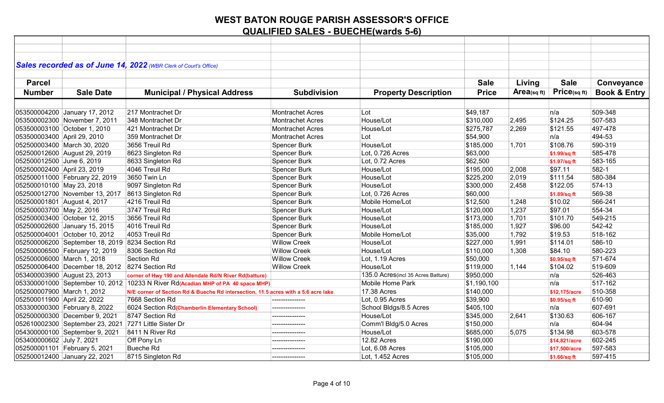|                             |                                                       | Sales recorded as of June 14, 2022 (WBR Clerk of Court's Office)                   |                         |                                    |              |            |               |                         |
|-----------------------------|-------------------------------------------------------|------------------------------------------------------------------------------------|-------------------------|------------------------------------|--------------|------------|---------------|-------------------------|
|                             |                                                       |                                                                                    |                         |                                    |              |            |               |                         |
| <b>Parcel</b>               |                                                       |                                                                                    |                         |                                    | <b>Sale</b>  | Living     | <b>Sale</b>   | Conveyance              |
| <b>Number</b>               | <b>Sale Date</b>                                      | <b>Municipal / Physical Address</b>                                                | <b>Subdivision</b>      | <b>Property Description</b>        | <b>Price</b> | Area(sqft) | Price(sqft)   | <b>Book &amp; Entry</b> |
|                             |                                                       |                                                                                    |                         |                                    |              |            |               |                         |
|                             | 053500004200 January 17, 2012                         | 217 Montrachet Dr                                                                  | <b>Montrachet Acres</b> | Lot                                | \$49,187     |            | n/a           | 509-348                 |
|                             | 053500002300 November 7, 2011                         | 348 Montrachet Dr                                                                  | <b>Montrachet Acres</b> | House/Lot                          | \$310,000    | 2,495      | \$124.25      | 507-583                 |
|                             | 053500003100 October 1, 2010                          | 421 Montrachet Dr                                                                  | <b>Montrachet Acres</b> | House/Lot                          | \$275,787    | 2,269      | \$121.55      | 497-478                 |
| 053500003400 April 29, 2010 |                                                       | 359 Montrachet Dr                                                                  | <b>Montrachet Acres</b> | Lot                                | \$54,900     |            | n/a           | 494-53                  |
|                             | 052500003400 March 30, 2020                           | 3656 Treuil Rd                                                                     | <b>Spencer Burk</b>     | House/Lot                          | \$185,000    | 1,701      | \$108.76      | 590-319                 |
|                             | 052500012600 August 29, 2019                          | 8623 Singleton Rd                                                                  | Spencer Burk            | Lot, 0.726 Acres                   | \$63,000     |            | \$1.99/sq ft  | 585-478                 |
| 052500012500 June 6, 2019   |                                                       | 8633 Singleton Rd                                                                  | Spencer Burk            | Lot, 0.72 Acres                    | \$62,500     |            | \$1.97/sq ft  | 583-165                 |
| 052500002400 April 23, 2019 |                                                       | 4046 Treuil Rd                                                                     | Spencer Burk            | House/Lot                          | \$195,000    | 2,008      | \$97.11       | 582-1                   |
|                             | 052500011000 February 22, 2019                        | 3650 Twin Ln                                                                       | Spencer Burk            | House/Lot                          | \$225,200    | 2,019      | \$111.54      | 580-384                 |
| 052500010100 May 23, 2018   |                                                       | 9097 Singleton Rd                                                                  | Spencer Burk            | House/Lot                          | \$300,000    | 2,458      | \$122.05      | 574-13                  |
|                             | 052500012700 November 13, 2017 8613 Singleton Rd      |                                                                                    | Spencer Burk            | Lot. 0.726 Acres                   | \$60,000     |            | \$1.89/sq ft  | 569-38                  |
|                             | 052500001801 August 4, 2017                           | 4216 Treuil Rd                                                                     | <b>Spencer Burk</b>     | Mobile Home/Lot                    | \$12,500     | 1,248      | \$10.02       | 566-241                 |
| 052500003700 May 2, 2016    |                                                       | 3747 Treuil Rd                                                                     | Spencer Burk            | House/Lot                          | \$120,000    | 1,237      | \$97.01       | 554-34                  |
|                             | 052500003400 October 12, 2015                         | 3656 Treuil Rd                                                                     | <b>Spencer Burk</b>     | House/Lot                          | \$173,000    | 1,701      | \$101.70      | 549-215                 |
|                             | 052500002600 January 15, 2015                         | 4016 Treuil Rd                                                                     | <b>Spencer Burk</b>     | House/Lot                          | \$185,000    | 1,927      | \$96.00       | 542-42                  |
|                             | 052500004001 October 10, 2012                         | 4053 Treuil Rd                                                                     | Spencer Burk            | Mobile Home/Lot                    | \$35,000     | 1,792      | \$19.53       | 518-162                 |
|                             | 052500006200 September 18, 2019 8234 Section Rd       |                                                                                    | <b>Willow Creek</b>     | House/Lot                          | \$227,000    | 1,991      | \$114.01      | 586-10                  |
|                             | 052500006500 February 12, 2019                        | 8306 Section Rd                                                                    | <b>Willow Creek</b>     | House/Lot                          | \$110,000    | 1,308      | \$84.10       | 580-223                 |
| 052500006000 March 1, 2018  |                                                       | <b>Section Rd</b>                                                                  | <b>Willow Creek</b>     | Lot, 1.19 Acres                    | \$50,000     |            | \$0.95/sq ft  | 571-674                 |
|                             | 052500006400 December 18, 2012 8274 Section Rd        |                                                                                    | <b>Willow Creek</b>     | House/Lot                          | \$119,000    | 1,144      | \$104.02      | 519-609                 |
|                             | 053400003900 August 23, 2013                          | corner of Hwy 190 and Allendale Rd/N River Rd(batture)                             |                         | 135.0 Acres(incl 35 Acres Batture) | \$950,000    |            | n/a           | 526-463                 |
|                             |                                                       | 053300001000 September 10, 2012 10233 N River Rd(Acadian MHP of PA 40 space MHP)   |                         | Mobile Home Park                   | \$1,190,100  |            | n/a           | 517-162                 |
| 052500007900 March 1, 2012  |                                                       | N/E corner of Section Rd & Bueche Rd intersection, 11.5 acres with a 5.6 acre lake |                         | 17.38 Acres                        | \$140,000    |            | \$12,175/acre | 510-358                 |
| 052500011900 April 22, 2022 |                                                       | 7668 Section Rd                                                                    | --------------          | Lot, 0.95 Acres                    | \$39,900     |            | \$0.95/sq ft  | 610-90                  |
|                             | 053300000300 February 8, 2022                         | 6024 Section Rd(Chamberlin Elementary School)                                      | --------------          | School Bldgs/8.5 Acres             | \$405,100    |            | n/a           | 607-691                 |
|                             | 052500000300 December 9, 2021                         | 8747 Section Rd                                                                    | ---------------         | House/Lot                          | \$345,000    | 2,641      | \$130.63      | 606-167                 |
|                             | 052610002300 September 23, 2021 7271 Little Sister Dr |                                                                                    |                         | Comm'l Bldg/5.0 Acres              | \$150,000    |            | n/a           | 604-94                  |
|                             | 054300000100 September 9, 2021                        | 8411 N River Rd                                                                    | ---------------         | House/Lot                          | \$685,000    | 5,075      | \$134.98      | 603-578                 |
| 053400000602 July 7, 2021   |                                                       | Off Pony Ln                                                                        | --------------          | 12.82 Acres                        | \$190,000    |            | \$14,821/acre | 602-245                 |
|                             | 052500001101 February 5, 2021                         | <b>Bueche Rd</b>                                                                   |                         | Lot, 6.08 Acres                    | \$105,000    |            | \$17,500/acre | 597-583                 |
|                             | 052500012400 January 22, 2021                         | 8715 Singleton Rd                                                                  | ---------------         | Lot, 1.452 Acres                   | \$105,000    |            | \$1.66/sq ft  | 597-415                 |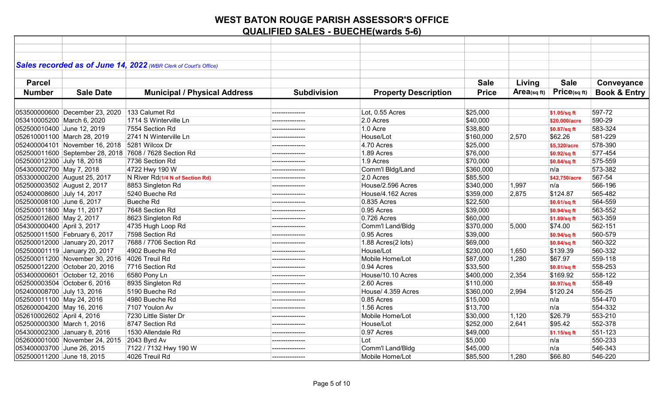|                             |                                               | Sales recorded as of June 14, 2022 (WBR Clerk of Court's Office) |                    |                             |              |            |                     |                         |
|-----------------------------|-----------------------------------------------|------------------------------------------------------------------|--------------------|-----------------------------|--------------|------------|---------------------|-------------------------|
|                             |                                               |                                                                  |                    |                             |              |            |                     |                         |
| <b>Parcel</b>               |                                               |                                                                  |                    |                             | <b>Sale</b>  | Living     | <b>Sale</b>         | Conveyance              |
| <b>Number</b>               | <b>Sale Date</b>                              | <b>Municipal / Physical Address</b>                              | <b>Subdivision</b> | <b>Property Description</b> | <b>Price</b> | Area(sqft) | $P$ ric $e$ (sq ft) | <b>Book &amp; Entry</b> |
|                             |                                               |                                                                  |                    |                             |              |            |                     |                         |
|                             | 053500000600 December 23, 2020                | 133 Calumet Rd                                                   | --------------     | Lot, 0.55 Acres             | \$25,000     |            | \$1.05/sq ft        | 597-72                  |
| 053410005200 March 6, 2020  |                                               | 1714 S Winterville Ln                                            | ---------------    | 2.0 Acres                   | \$40,000     |            | \$20,000/acre       | 590-29                  |
| 052500010400 June 12, 2019  |                                               | 7554 Section Rd                                                  |                    | 1.0 Acre                    | \$38,800     |            | \$0.87/sq ft        | 583-324                 |
| 052610001100 March 28, 2019 |                                               | 2741 N Winterville Ln                                            | --------------     | House/Lot                   | \$160,000    | 2,570      | \$62.26             | 581-229                 |
|                             | 052400004101 November 16, 2018 5281 Wilcox Dr |                                                                  | --------------     | 4.70 Acres                  | \$25,000     |            | \$5,320/acre        | 578-390                 |
|                             |                                               | 052500011600 September 28, 2018 7608 / 7628 Section Rd           |                    | 1.89 Acres                  | \$76,000     |            | \$0.92/sq ft        | 577-454                 |
| 052500012300 July 18, 2018  |                                               | 7736 Section Rd                                                  |                    | 1.9 Acres                   | \$70,000     |            | \$0.84/sq ft        | 575-559                 |
| 054300002700 May 7, 2018    |                                               | 4722 Hwy 190 W                                                   | ---------------    | Comm'l Bldg/Land            | \$360,000    |            | n/a                 | 573-382                 |
|                             | 053300000200 August 25, 2017                  | N River Rd(1/4 N of Section Rd)                                  |                    | 2.0 Acres                   | \$85,500     |            | \$42,750/acre       | 567-54                  |
| 052500003502 August 2, 2017 |                                               | 8853 Singleton Rd                                                |                    | House/2.596 Acres           | \$340,000    | 1,997      | n/a                 | 566-196                 |
| 052400008600 July 14, 2017  |                                               | 5240 Bueche Rd                                                   | ---------------    | House/4.162 Acres           | \$359,000    | 2,875      | \$124.87            | 565-482                 |
| 052500008100 June 6, 2017   |                                               | <b>Bueche Rd</b>                                                 | -------------      | 0.835 Acres                 | \$22,500     |            | \$0.61/sq ft        | 564-559                 |
| 052500011800 May 11, 2017   |                                               | 7648 Section Rd                                                  | ---------------    | 0.95 Acres                  | \$39,000     |            | \$0.94/sq ft        | 563-552                 |
| 052500012600 May 2, 2017    |                                               | 8623 Singleton Rd                                                |                    | 0.726 Acres                 | \$60,000     |            | \$1.89/sq ft        | 563-359                 |
| 054300000400 April 3, 2017  |                                               | 4735 Hugh Loop Rd                                                | ---------------    | Comm'l Land/Bldg            | \$370,000    | 5,000      | \$74.00             | 562-151                 |
|                             | 052500011500 February 6, 2017                 | 7598 Section Rd                                                  |                    | 0.95 Acres                  | \$39,000     |            | \$0.94/sq ft        | 560-579                 |
|                             | 052500012000 January 20, 2017                 | 7688 / 7706 Section Rd                                           |                    | 1.88 Acres(2 lots)          | \$69,000     |            | \$0.84/sq ft        | 560-322                 |
|                             | 052500001119 January 20, 2017                 | 4902 Bueche Rd                                                   | ---------------    | House/Lot                   | \$230,000    | 1,650      | \$139.39            | 560-332                 |
|                             | 052500011200 November 30, 2016                | 4026 Treuil Rd                                                   |                    | Mobile Home/Lot             | \$87,000     | 1,280      | \$67.97             | 559-118                 |
|                             | 052500012200 October 20, 2016                 | 7716 Section Rd                                                  |                    | 0.94 Acres                  | \$33,500     |            | \$0.81/sq ft        | 558-253                 |
|                             | 053400000601 October 12, 2016                 | 6580 Pony Ln                                                     | --------------     | House/10.10 Acres           | \$400,000    | 2,354      | \$169.92            | 558-122                 |
|                             | 052500003504 October 6, 2016                  | 8935 Singleton Rd                                                | ---------------    | 2.60 Acres                  | \$110,000    |            | \$0.97/sq ft        | 558-49                  |
| 052400008700 July 13, 2016  |                                               | 5190 Bueche Rd                                                   |                    | House/ 4.359 Acres          | \$360,000    | 2,994      | \$120.24            | 556-25                  |
| 052500011100 May 24, 2016   |                                               | 4980 Bueche Rd                                                   |                    | 0.85 Acres                  | \$15,000     |            | n/a                 | 554-470                 |
| 052600004200 May 16, 2016   |                                               | 7107 Youlon Av                                                   | ---------------    | 1.56 Acres                  | \$13,700     |            | n/a                 | 554-332                 |
| 052610002602 April 4, 2016  |                                               | 7230 Little Sister Dr                                            |                    | Mobile Home/Lot             | \$30,000     | 1,120      | \$26.79             | 553-210                 |
| 052500000300 March 1, 2016  |                                               | 8747 Section Rd                                                  | ---------------    | House/Lot                   | \$252,000    | 2,641      | \$95.42             | 552-378                 |
|                             | 054300002300 January 8, 2016                  | 1530 Allendale Rd                                                | ---------------    | 0.97 Acres                  | \$49,000     |            | \$1.15/sq ft        | 551-123                 |
|                             | 052600001000 November 24, 2015 2043 Byrd Av   |                                                                  |                    | Lot                         | \$5,000      |            | n/a                 | 550-233                 |
| 053400003700 June 26, 2015  |                                               | 7122 / 7132 Hwy 190 W                                            |                    | Comm'l Land/Bldg            | \$45,000     |            | n/a                 | 546-343                 |
| 052500011200 June 18, 2015  |                                               | 4026 Treuil Rd                                                   | ---------------    | Mobile Home/Lot             | \$85,500     | 1,280      | \$66.80             | 546-220                 |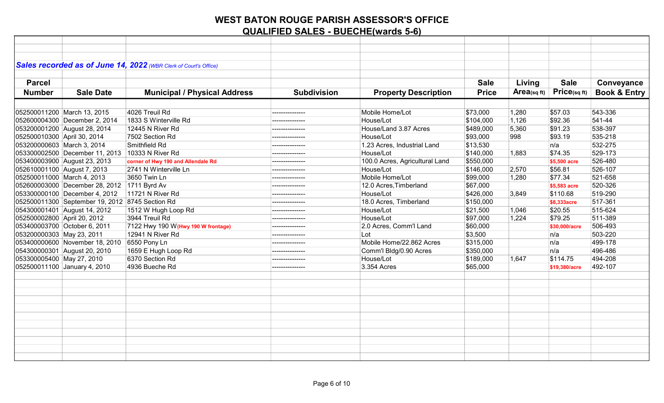|                             |                                                 | Sales recorded as of June 14, 2022 (WBR Clerk of Court's Office) |                    |                                |              |             |                 |                         |
|-----------------------------|-------------------------------------------------|------------------------------------------------------------------|--------------------|--------------------------------|--------------|-------------|-----------------|-------------------------|
|                             |                                                 |                                                                  |                    |                                |              |             |                 |                         |
| <b>Parcel</b>               |                                                 |                                                                  |                    |                                | <b>Sale</b>  | Living      | <b>Sale</b>     | Conveyance              |
| <b>Number</b>               | <b>Sale Date</b>                                | <b>Municipal / Physical Address</b>                              | <b>Subdivision</b> | <b>Property Description</b>    | <b>Price</b> | Area(sq ft) | $P$ rice(sq ft) | <b>Book &amp; Entry</b> |
|                             |                                                 |                                                                  |                    |                                |              |             |                 |                         |
|                             | 052500011200 March 13, 2015                     | 4026 Treuil Rd                                                   | --------------     | Mobile Home/Lot                | \$73,000     | 1,280       | \$57.03         | 543-336                 |
|                             | 052600004300 December 2, 2014                   | 1833 S Winterville Rd                                            |                    | House/Lot                      | \$104,000    | 1,126       | \$92.36         | 541-44                  |
|                             | 053200001200 August 28, 2014                    | 12445 N River Rd                                                 |                    | House/Land 3.87 Acres          | \$489,000    | 5,360       | \$91.23         | 538-397                 |
| 052500010300 April 30, 2014 |                                                 | 7502 Section Rd                                                  | ---------------    | House/Lot                      | \$93,000     | 998         | \$93.19         | 535-218                 |
| 053200000603 March 3, 2014  |                                                 | Smithfield Rd                                                    | --------------     | 1.23 Acres, Industrial Land    | \$13,530     |             | n/a             | 532-275                 |
|                             | 053300002500 December 11, 2013 10333 N River Rd |                                                                  | --------------     | House/Lot                      | \$140,000    | 1,883       | \$74.35         | 529-173                 |
|                             | 053400003900 August 23, 2013                    | corner of Hwy 190 and Allendale Rd                               | ---------------    | 100.0 Acres, Agricultural Land | \$550,000    |             | \$5,500 acre    | 526-480                 |
|                             | 052610001100 August 7, 2013                     | 2741 N Winterville Ln                                            | ---------------    | House/Lot                      | \$146,000    | 2,570       | \$56.81         | 526-107                 |
| 052500011000 March 4, 2013  |                                                 | 3650 Twin Ln                                                     | ---------------    | Mobile Home/Lot                | \$99,000     | 1,280       | \$77.34         | 521-658                 |
|                             | 052600003000 December 28, 2012 1711 Byrd Av     |                                                                  | ---------------    | 12.0 Acres, Timberland         | \$67,000     |             | \$5,583 acre    | 520-326                 |
|                             | 053300000100 December 4, 2012                   | 11721 N River Rd                                                 |                    | House/Lot                      | \$426,000    | 3,849       | \$110.68        | 519-290                 |
|                             | 052500011300 September 19, 2012 8745 Section Rd |                                                                  | ---------------    | 18.0 Acres, Timberland         | \$150,000    |             | \$8,333acre     | 517-361                 |
|                             | 054300001401 August 14, 2012                    | 1512 W Hugh Loop Rd                                              | --------------     | House/Lot                      | \$21,500     | 1,046       | \$20.55         | 515-624                 |
| 052500002800 April 20, 2012 |                                                 | 3944 Treuil Rd                                                   | ---------------    | House/Lot                      | \$97,000     | 1,224       | \$79.25         | 511-389                 |
|                             | 053400003700 October 6, 2011                    | 7122 Hwy 190 W(Hwy 190 W frontage)                               |                    | 2.0 Acres, Comm'l Land         | \$60,000     |             | \$30,000/acre   | 506-493                 |
| 053200000303 May 23, 2011   |                                                 | 12941 N River Rd                                                 | ---------------    | Lot                            | \$3,500      |             | n/a             | 503-220                 |
|                             | 053400000600 November 18, 2010 6550 Pony Ln     |                                                                  | ---------------    | Mobile Home/22.862 Acres       | \$315,000    |             | ∣n/a            | 499-178                 |
|                             | 054300000301 August 20, 2010                    | 1659 E Hugh Loop Rd                                              | ---------------    | Comm'l Bldg/0.90 Acres         | \$350,000    |             | n/a             | 496-486                 |
| 053300005400 May 27, 2010   |                                                 | 6370 Section Rd                                                  | ---------------    | House/Lot                      | \$189,000    | 1,647       | \$114.75        | 494-208                 |
|                             | 052500011100 January 4, 2010                    | 4936 Bueche Rd                                                   |                    | 3.354 Acres                    | \$65,000     |             | \$19,380/acre   | 492-107                 |
|                             |                                                 |                                                                  |                    |                                |              |             |                 |                         |
|                             |                                                 |                                                                  |                    |                                |              |             |                 |                         |
|                             |                                                 |                                                                  |                    |                                |              |             |                 |                         |
|                             |                                                 |                                                                  |                    |                                |              |             |                 |                         |
|                             |                                                 |                                                                  |                    |                                |              |             |                 |                         |
|                             |                                                 |                                                                  |                    |                                |              |             |                 |                         |
|                             |                                                 |                                                                  |                    |                                |              |             |                 |                         |
|                             |                                                 |                                                                  |                    |                                |              |             |                 |                         |
|                             |                                                 |                                                                  |                    |                                |              |             |                 |                         |
|                             |                                                 |                                                                  |                    |                                |              |             |                 |                         |
|                             |                                                 |                                                                  |                    |                                |              |             |                 |                         |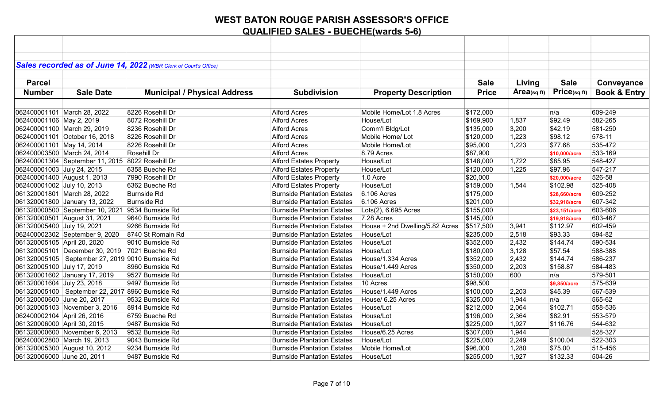|                             |                                                    | Sales recorded as of June 14, 2022 (WBR Clerk of Court's Office) |                                    |                                 |              |            |               |                         |
|-----------------------------|----------------------------------------------------|------------------------------------------------------------------|------------------------------------|---------------------------------|--------------|------------|---------------|-------------------------|
|                             |                                                    |                                                                  |                                    |                                 |              |            |               |                         |
| <b>Parcel</b>               |                                                    |                                                                  |                                    |                                 | <b>Sale</b>  | Living     | <b>Sale</b>   | Conveyance              |
| <b>Number</b>               | <b>Sale Date</b>                                   | <b>Municipal / Physical Address</b>                              | <b>Subdivision</b>                 | <b>Property Description</b>     | <b>Price</b> | Area(sqft) | Price(sqft)   | <b>Book &amp; Entry</b> |
|                             |                                                    |                                                                  |                                    |                                 |              |            |               |                         |
|                             | 062400001101 March 28, 2022                        | 8226 Rosehill Dr                                                 | <b>Alford Acres</b>                | Mobile Home/Lot 1.8 Acres       | \$172,000    |            | n/a           | 609-249                 |
| 062400001106 May 2, 2019    |                                                    | 8072 Rosehill Dr                                                 | <b>Alford Acres</b>                | House/Lot                       | \$169,900    | 1,837      | \$92.49       | 582-265                 |
|                             | 062400001100 March 29, 2019                        | 8236 Rosehill Dr                                                 | <b>Alford Acres</b>                | Comm'l Bldg/Lot                 | \$135,000    | 3,200      | \$42.19       | 581-250                 |
|                             | 062400001101 October 16, 2018                      | 8226 Rosehill Dr                                                 | <b>Alford Acres</b>                | Mobile Home/ Lot                | \$120,000    | 1,223      | \$98.12       | 578-11                  |
| 062400001101 May 14, 2014   |                                                    | 8226 Rosehill Dr                                                 | <b>Alford Acres</b>                | Mobile Home/Lot                 | \$95,000     | 1,223      | \$77.68       | 535-472                 |
|                             | 062400003500 March 24, 2014                        | Rosehill Dr                                                      | <b>Alford Acres</b>                | 8.79 Acres                      | \$87,900     |            | \$10,000/acre | 533-169                 |
|                             | 062400001304 September 11, 2015 8022 Rosehill Dr   |                                                                  | <b>Alford Estates Property</b>     | House/Lot                       | \$148,000    | 1,722      | \$85.95       | 548-427                 |
| 062400001003 July 24, 2015  |                                                    | 6358 Bueche Rd                                                   | <b>Alford Estates Property</b>     | House/Lot                       | \$120,000    | 1,225      | \$97.96       | 547-217                 |
|                             | 062400001400 August 1, 2013                        | 7990 Rosehill Dr                                                 | <b>Alford Estates Property</b>     | 1.0 Acre                        | \$20,000     |            | \$20,000/acre | 526-58                  |
| 062400001002 July 10, 2013  |                                                    | 6362 Bueche Rd                                                   | <b>Alford Estates Property</b>     | House/Lot                       | \$159,000    | 1,544      | \$102.98      | 525-408                 |
|                             | 061320001801 March 28, 2022                        | <b>Burnside Rd</b>                                               | <b>Burnside Plantation Estates</b> | 6.106 Acres                     | \$175,000    |            | \$28,660/acre | 609-252                 |
|                             | 061320001800 January 13, 2022                      | <b>Burnside Rd</b>                                               | <b>Burnside Plantation Estates</b> | 6.106 Acres                     | \$201,000    |            | \$32,918/acre | 607-342                 |
|                             | 061320000500 September 10, 2021 9534 Burnside Rd   |                                                                  | <b>Burnside Plantation Estates</b> | Lots(2), 6.695 Acres            | \$155,000    |            | \$23,151/acre | 603-606                 |
|                             | 061320000501 August 31, 2021                       | 9640 Burnside Rd                                                 | <b>Burnside Plantation Estates</b> | 7.28 Acres                      | \$145,000    |            | \$19,918/acre | 603-467                 |
| 061320005400 July 19, 2021  |                                                    | 9266 Burnside Rd                                                 | <b>Burnside Plantation Estates</b> | House + 2nd Dwelling/5.82 Acres | \$517,500    | 3,941      | \$112.97      | 602-459                 |
|                             | 062400002302 September 9, 2020                     | 8740 St Romain Rd                                                | <b>Burnside Plantation Estates</b> | House/Lot                       | \$235,000    | 2,518      | \$93.33       | 594-82                  |
| 061320005105 April 20, 2020 |                                                    | 9010 Burnside Rd                                                 | <b>Burnside Plantation Estates</b> | House/Lot                       | \$352,000    | 2,432      | \$144.74      | 590-534                 |
|                             | 061320005101 December 30, 2019 7021 Bueche Rd      |                                                                  | <b>Burnside Plantation Estates</b> | House/Lot                       | \$180,000    | 3,128      | \$57.54       | 588-388                 |
|                             | 061320005105   September 27, 2019 9010 Burnside Rd |                                                                  | <b>Burnside Plantation Estates</b> | House/1.334 Acres               | \$352,000    | 2,432      | \$144.74      | 586-237                 |
| 061320005100 July 17, 2019  |                                                    | 8960 Burnside Rd                                                 | <b>Burnside Plantation Estates</b> | House/1.449 Acres               | \$350,000    | 2,203      | \$158.87      | 584-483                 |
|                             | 061320001602 January 17, 2019                      | 9527 Burnside Rd                                                 | <b>Burnside Plantation Estates</b> | House/Lot                       | \$150,000    | 600        | n/a           | 579-501                 |
| 061320001604 July 23, 2018  |                                                    | 9497 Burnside Rd                                                 | <b>Burnside Plantation Estates</b> | 10 Acres                        | \$98,500     |            | \$9,850/acre  | 575-639                 |
|                             | 061320005100   September 22, 2017 8960 Burnside Rd |                                                                  | <b>Burnside Plantation Estates</b> | House/1.449 Acres               | \$100,000    | 2,203      | \$45.39       | 567-539                 |
| 061320000600 June 20, 2017  |                                                    | 9532 Burnside Rd                                                 | <b>Burnside Plantation Estates</b> | House/ 6.25 Acres               | \$325,000    | 1,944      | n/a           | 565-62                  |
|                             | 061320005103 November 3, 2016                      | 8914 Burnside Rd                                                 | <b>Burnside Plantation Estates</b> | House/Lot                       | \$212,000    | 2,064      | \$102.71      | 558-536                 |
| 062400002104 April 26, 2016 |                                                    | 6759 Bueche Rd                                                   | <b>Burnside Plantation Estates</b> | House/Lot                       | \$196,000    | 2,364      | \$82.91       | 553-579                 |
| 061320006000 April 30, 2015 |                                                    | 9487 Burnside Rd                                                 | <b>Burnside Plantation Estates</b> | House/Lot                       | \$225,000    | 1,927      | \$116.76      | 544-632                 |
|                             | 061320000600 November 6, 2013                      | 9532 Burnside Rd                                                 | <b>Burnside Plantation Estates</b> | House/6.25 Acres                | \$307,000    | 1,944      |               | 528-327                 |
|                             | 062400002800 March 19, 2013                        | 9043 Burnside Rd                                                 | <b>Burnside Plantation Estates</b> | House/Lot                       | \$225,000    | 2,249      | \$100.04      | 522-303                 |
|                             | 061320005300 August 10, 2012                       | 9234 Burnside Rd                                                 | <b>Burnside Plantation Estates</b> | Mobile Home/Lot                 | \$96,000     | 1,280      | \$75.00       | 515-456                 |
| 061320006000 June 20, 2011  |                                                    | 9487 Burnside Rd                                                 | <b>Burnside Plantation Estates</b> | House/Lot                       | \$255,000    | 1,927      | \$132.33      | 504-26                  |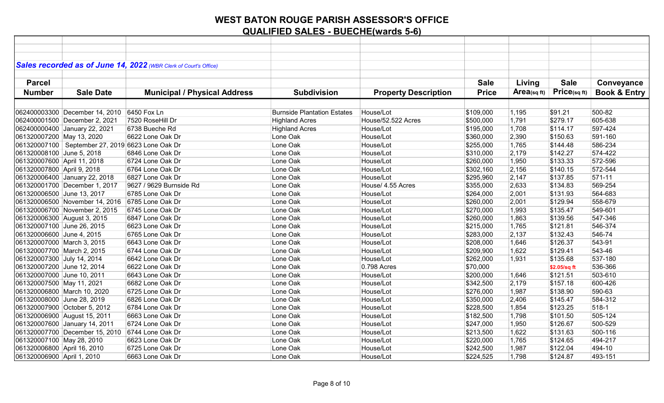|                             |                                                    | Sales recorded as of June 14, 2022 (WBR Clerk of Court's Office) |                                    |                             |              |                |              |                         |
|-----------------------------|----------------------------------------------------|------------------------------------------------------------------|------------------------------------|-----------------------------|--------------|----------------|--------------|-------------------------|
|                             |                                                    |                                                                  |                                    |                             |              |                |              |                         |
| <b>Parcel</b>               |                                                    |                                                                  |                                    |                             | <b>Sale</b>  | Living         | <b>Sale</b>  | Conveyance              |
| <b>Number</b>               | <b>Sale Date</b>                                   | <b>Municipal / Physical Address</b>                              | <b>Subdivision</b>                 | <b>Property Description</b> | <b>Price</b> | $Area$ (sq ft) | Price(sqft)  | <b>Book &amp; Entry</b> |
|                             |                                                    |                                                                  |                                    |                             |              |                |              |                         |
|                             | 062400003300 December 14, 2010                     | 6450 Fox Ln                                                      | <b>Burnside Plantation Estates</b> | House/Lot                   | \$109,000    | 1,195          | \$91.21      | 500-82                  |
|                             | 062400001500 December 2, 2021                      | 7520 RoseHill Dr                                                 | <b>Highland Acres</b>              | House/52.522 Acres          | \$500,000    | 1,791          | \$279.17     | 605-638                 |
|                             | 062400000400 January 22, 2021                      | 6738 Bueche Rd                                                   | <b>Highland Acres</b>              | House/Lot                   | \$195,000    | 1,708          | \$114.17     | 597-424                 |
| 061320007200 May 13, 2020   |                                                    | 6622 Lone Oak Dr                                                 | Lone Oak                           | House/Lot                   | \$360,000    | 2,390          | \$150.63     | 591-160                 |
|                             | 061320007100   September 27, 2019 6623 Lone Oak Dr |                                                                  | Lone Oak                           | House/Lot                   | \$255,000    | 1,765          | \$144.48     | 586-234                 |
| 061320008100 June 5, 2018   |                                                    | 6846 Lone Oak Dr                                                 | Lone Oak                           | House/Lot                   | \$310,000    | 2,179          | \$142.27     | 574-422                 |
| 061320007600 April 11, 2018 |                                                    | 6724 Lone Oak Dr                                                 | Lone Oak                           | House/Lot                   | \$260,000    | 1,950          | \$133.33     | 572-596                 |
| 061320007800 April 9, 2018  |                                                    | 6764 Lone Oak Dr                                                 | Lone Oak                           | House/Lot                   | \$302,160    | 2,156          | \$140.15     | 572-544                 |
|                             | 061320006400 January 22, 2018                      | 6827 Lone Oak Dr                                                 | Lone Oak                           | House/Lot                   | \$295,960    | 2,147          | \$137.85     | 571-11                  |
|                             | 061320001700 December 1, 2017                      | 9627 / 9629 Burnside Rd                                          | Lone Oak                           | House/ 4.55 Acres           | \$355,000    | 2,633          | \$134.83     | 569-254                 |
| 061320006500 June 13, 2017  |                                                    | 6785 Lone Oak Dr                                                 | Lone Oak                           | House/Lot                   | \$264,000    | 2,001          | \$131.93     | 564-683                 |
|                             | 061320006500 November 14, 2016                     | 6785 Lone Oak Dr                                                 | Lone Oak                           | House/Lot                   | \$260,000    | 2,001          | \$129.94     | 558-679                 |
|                             | 061320006700 November 2, 2015                      | 6745 Lone Oak Dr                                                 | Lone Oak                           | House/Lot                   | \$270,000    | 1,993          | \$135.47     | 549-601                 |
| 061320006300 August 3, 2015 |                                                    | 6847 Lone Oak Dr                                                 | Lone Oak                           | House/Lot                   | \$260,000    | 1,863          | \$139.56     | 547-346                 |
| 061320007100 June 26, 2015  |                                                    | 6623 Lone Oak Dr                                                 | Lone Oak                           | House/Lot                   | \$215,000    | 1,765          | \$121.81     | 546-374                 |
| 061320006600 June 4, 2015   |                                                    | 6765 Lone Oak Dr                                                 | Lone Oak                           | House/Lot                   | \$283,000    | 2,137          | \$132.43     | 546-74                  |
| 061320007000 March 3, 2015  |                                                    | 6643 Lone Oak Dr                                                 | Lone Oak                           | House/Lot                   | \$208,000    | 1,646          | \$126.37     | 543-91                  |
| 061320007700 March 2, 2015  |                                                    | 6744 Lone Oak Dr                                                 | Lone Oak                           | House/Lot                   | \$209,900    | 1,622          | \$129.41     | 543-46                  |
| 061320007300 July 14, 2014  |                                                    | 6642 Lone Oak Dr                                                 | Lone Oak                           | House/Lot                   | \$262,000    | 1,931          | \$135.68     | 537-180                 |
| 061320007200 June 12, 2014  |                                                    | 6622 Lone Oak Dr                                                 | Lone Oak                           | 0.798 Acres                 | \$70,000     |                | \$2.05/sq ft | 536-366                 |
| 061320007000 June 10, 2011  |                                                    | 6643 Lone Oak Dr                                                 | Lone Oak                           | House/Lot                   | \$200,000    | 1,646          | \$121.51     | 503-610                 |
| 061320007500 May 11, 2021   |                                                    | 6682 Lone Oak Dr                                                 | Lone Oak                           | House/Lot                   | \$342,500    | 2,179          | \$157.18     | 600-426                 |
|                             | 061320006800 March 10, 2020                        | 6725 Lone Oak Dr                                                 | Lone Oak                           | House/Lot                   | \$276,000    | 1,987          | \$138.90     | 590-63                  |
| 061320008000 June 28, 2019  |                                                    | 6826 Lone Oak Dr                                                 | Lone Oak                           | House/Lot                   | \$350,000    | 2,406          | \$145.47     | 584-312                 |
|                             | 061320007900 October 5, 2012                       | 6784 Lone Oak Dr                                                 | Lone Oak                           | House/Lot                   | \$228,500    | 1,854          | \$123.25     | 518-1                   |
|                             | 061320006900 August 15, 2011                       | 6663 Lone Oak Dr                                                 | Lone Oak                           | House/Lot                   | \$182,500    | 1,798          | \$101.50     | 505-124                 |
|                             | 061320007600 January 14, 2011                      | 6724 Lone Oak Dr                                                 | Lone Oak                           | House/Lot                   | \$247,000    | 1,950          | \$126.67     | 500-529                 |
|                             | 061320007700 December 15, 2010                     | 6744 Lone Oak Dr                                                 | Lone Oak                           | House/Lot                   | \$213,500    | 1,622          | \$131.63     | 500-116                 |
| 061320007100 May 28, 2010   |                                                    | 6623 Lone Oak Dr                                                 | Lone Oak                           | House/Lot                   | \$220,000    | 1,765          | \$124.65     | 494-217                 |
| 061320006800 April 16, 2010 |                                                    | 6725 Lone Oak Dr                                                 | Lone Oak                           | House/Lot                   | \$242,500    | 1,987          | \$122.04     | 494-10                  |
| 061320006900 April 1, 2010  |                                                    | 6663 Lone Oak Dr                                                 | Lone Oak                           | House/Lot                   | \$224,525    | 1,798          | \$124.87     | 493-151                 |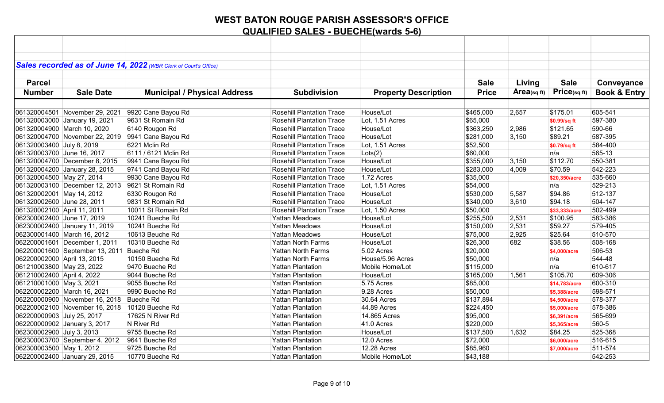|                             |                                                  | Sales recorded as of June 14, 2022 (WBR Clerk of Court's Office) |                                  |                             |              |            |               |                         |
|-----------------------------|--------------------------------------------------|------------------------------------------------------------------|----------------------------------|-----------------------------|--------------|------------|---------------|-------------------------|
|                             |                                                  |                                                                  |                                  |                             |              |            |               |                         |
| <b>Parcel</b>               |                                                  |                                                                  |                                  |                             | <b>Sale</b>  | Living     | <b>Sale</b>   | Conveyance              |
|                             |                                                  |                                                                  |                                  |                             |              |            | Price(sqft)   |                         |
| <b>Number</b>               | <b>Sale Date</b>                                 | <b>Municipal / Physical Address</b>                              | <b>Subdivision</b>               | <b>Property Description</b> | <b>Price</b> | Area(sqft) |               | <b>Book &amp; Entry</b> |
|                             |                                                  |                                                                  |                                  |                             |              |            |               |                         |
|                             | 061320004501 November 29, 2021                   | 9920 Cane Bayou Rd                                               | <b>Rosehill Plantation Trace</b> | House/Lot                   | \$465,000    | 2,657      | \$175.01      | 605-541                 |
|                             | 061320003000 January 19, 2021                    | 9631 St Romain Rd                                                | <b>Rosehill Plantation Trace</b> | Lot, 1.51 Acres             | \$65,000     |            | \$0.99/sq ft  | 597-380                 |
|                             | 061320004900 March 10, 2020                      | 6140 Rougon Rd                                                   | <b>Rosehill Plantation Trace</b> | House/Lot                   | \$363,250    | 2,986      | \$121.65      | 590-66                  |
|                             |                                                  | 061320004700 November 22, 2019 9941 Cane Bayou Rd                | <b>Rosehill Plantation Trace</b> | House/Lot                   | \$281,000    | 3,150      | \$89.21       | 587-395                 |
| 061320003400 July 8, 2019   |                                                  | 6221 Mclin Rd                                                    | <b>Rosehill Plantation Trace</b> | Lot, 1.51 Acres             | \$52,500     |            | \$0.79/sq ft  | 584-400                 |
| 061320003700 June 16, 2017  |                                                  | 6111 / 6121 Mclin Rd                                             | <b>Rosehill Plantation Trace</b> | Lots(2)                     | \$60,000     |            | n/a           | 565-13                  |
|                             | 061320004700 December 8, 2015                    | 9941 Cane Bayou Rd                                               | <b>Rosehill Plantation Trace</b> | House/Lot                   | \$355,000    | 3,150      | \$112.70      | 550-381                 |
|                             | 061320004200 January 28, 2015                    | 9741 Cand Bayou Rd                                               | <b>Rosehill Plantation Trace</b> | House/Lot                   | \$283,000    | 4,009      | \$70.59       | 542-223                 |
| 061320004500 May 27, 2014   |                                                  | 9930 Cane Bayou Rd                                               | <b>Rosehill Plantation Trace</b> | 1.72 Acres                  | \$35,000     |            | \$20,350/acre | 535-660                 |
|                             | 061320003100 December 12, 2013 9621 St Romain Rd |                                                                  | <b>Rosehill Plantation Trace</b> | Lot, 1.51 Acres             | \$54,000     |            | n/a           | 529-213                 |
| 061320002001 May 14, 2012   |                                                  | 6330 Rougon Rd                                                   | <b>Rosehill Plantation Trace</b> | House/Lot                   | \$530,000    | 5,587      | \$94.86       | 512-137                 |
| 061320002600 June 28, 2011  |                                                  | 9831 St Romain Rd                                                | <b>Rosehill Plantation Trace</b> | House/Lot                   | \$340,000    | 3,610      | \$94.18       | 504-147                 |
| 061320002100 April 11, 2011 |                                                  | 10011 St Romain Rd                                               | <b>Rosehill Plantation Trace</b> | Lot, 1.50 Acres             | \$50,000     |            | \$33,333/acre | 502-499                 |
| 062300002400 June 17, 2019  |                                                  | 10241 Bueche Rd                                                  | <b>Yattan Meadows</b>            | House/Lot                   | \$255,500    | 2,531      | \$100.95      | 583-386                 |
|                             | 062300002400 January 11, 2019                    | 10241 Bueche Rd                                                  | <b>Yattan Meadows</b>            | House/Lot                   | \$150,000    | 2,531      | \$59.27       | 579-405                 |
|                             | 062300001400 March 16, 2012                      | 10613 Beuche Rd                                                  | <b>Yattan Meadows</b>            | House/Lot                   | \$75,000     | 2,925      | \$25.64       | 510-570                 |
|                             | 062200001601 December 1, 2011                    | 10310 Bueche Rd                                                  | <b>Yattan North Farms</b>        | House/Lot                   | \$26,300     | 682        | \$38.56       | 508-168                 |
|                             | 062200001600 September 13, 2011 Bueche Rd        |                                                                  | <b>Yattan North Farms</b>        | 5.02 Acres                  | \$20,000     |            | \$4,000/acre  | 506-53                  |
| 062200002000 April 13, 2015 |                                                  | 10150 Bueche Rd                                                  | <b>Yattan North Farms</b>        | House/5.96 Acres            | \$50,000     |            | n/a           | 544-48                  |
| 061210003800 May 23, 2022   |                                                  | 9470 Bueche Rd                                                   | <b>Yattan Plantation</b>         | Mobile Home/Lot             | \$115,000    |            | n/a           | 610-617                 |
| 061210002400 April 4, 2022  |                                                  | 9044 Bueche Rd                                                   | <b>Yattan Plantation</b>         | House/Lot                   | \$165,000    | 1,561      | \$105.70      | 609-306                 |
| 061210001000 May 3, 2021    |                                                  | 9055 Bueche Rd                                                   | <b>Yattan Plantation</b>         | 5.75 Acres                  | \$85,000     |            | \$14,783/acre | 600-310                 |
|                             | 062200002200 March 16, 2021                      | 9990 Bueche Rd                                                   | <b>Yattan Plantation</b>         | 9.28 Acres                  | \$50,000     |            | \$5,388/acre  | 598-571                 |
|                             | 062200000900 November 16, 2018                   | <b>Bueche Rd</b>                                                 | <b>Yattan Plantation</b>         | 30.64 Acres                 | \$137,894    |            | \$4,500/acre  | 578-377                 |
|                             | 062200002100 November 16, 2018                   | 10120 Bueche Rd                                                  | <b>Yattan Plantation</b>         | 44.89 Acres                 | \$224,450    |            | \$5,000/acre  | 578-386                 |
| 062200000903 July 25, 2017  |                                                  | 17625 N River Rd                                                 | <b>Yattan Plantation</b>         | 14.865 Acres                | \$95,000     |            | \$6,391/acre  | 565-699                 |
|                             | 062200000902 January 3, 2017                     | N River Rd                                                       | <b>Yattan Plantation</b>         | 41.0 Acres                  | \$220,000    |            | \$5,365/acre  | 560-5                   |
| 062300002900 July 3, 2013   |                                                  | 9755 Bueche Rd                                                   | <b>Yattan Plantation</b>         | House/Lot                   | \$137,500    | 1,632      | \$84.25       | 525-368                 |
|                             | 062300003700 September 4, 2012                   | 9641 Bueche Rd                                                   | <b>Yattan Plantation</b>         | 12.0 Acres                  | \$72,000     |            | \$6,000/acre  | 516-615                 |
| 062300003500 May 1, 2012    |                                                  | 9725 Bueche Rd                                                   | <b>Yattan Plantation</b>         | 12.28 Acres                 | \$85,960     |            | \$7,000/acre  | 511-574                 |
|                             | 062200002400 January 29, 2015                    | 10770 Bueche Rd                                                  | <b>Yattan Plantation</b>         | Mobile Home/Lot             | \$43,188     |            |               | 542-253                 |